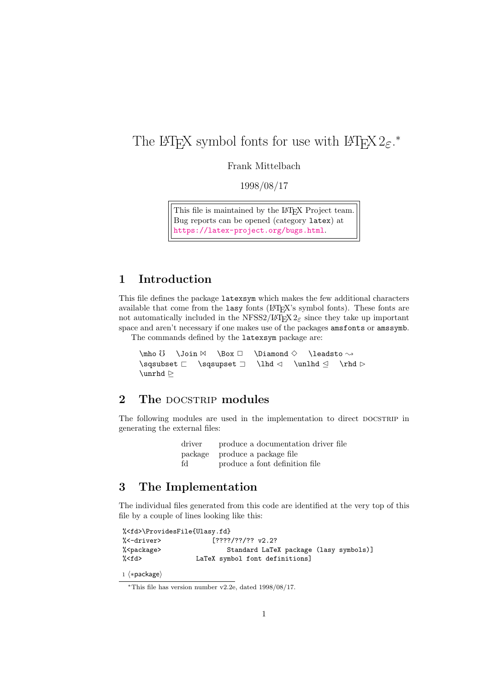# The LATEX symbol fonts for use with LATEX  $2\varepsilon$ .\*

Frank Mittelbach

1998/08/17

This file is maintained by the L<sup>AT</sup>EX Project team. Bug reports can be opened (category latex) at <https://latex-project.org/bugs.html>.

## 1 Introduction

This file defines the package latexsym which makes the few additional characters available that come from the lasy fonts (LATEX's symbol fonts). These fonts are not automatically included in the NFSS2/LATEX  $2\varepsilon$  since they take up important space and aren't necessary if one makes use of the packages amsfonts or amssymb.

The commands defined by the latexsym package are:

```
\mtext{ do } \Join \mathbb{A} \rightarrow \Delta \diamond \Delta\sigma \in \mathbb{Z} \sqsupset \Box \lhd \triangle \rhd \triangleright\sum
```
### 2 The DOCSTRIP modules

The following modules are used in the implementation to direct DOCSTRIP in generating the external files:

| driver | produce a documentation driver file |
|--------|-------------------------------------|
|        | package produce a package file      |
| fd     | produce a font definition file      |

#### 3 The Implementation

The individual files generated from this code are identified at the very top of this file by a couple of lines looking like this:

| % <fd>\ProvidesFile{Ulasy.fd}</fd> |                                        |  |  |
|------------------------------------|----------------------------------------|--|--|
| %<-driver>                         | $[????/??/?? $ v2.2?                   |  |  |
| % <package></package>              | Standard LaTeX package (lasy symbols)] |  |  |
| % <fd></fd>                        | LaTeX symbol font definitions]         |  |  |

1 ⟨∗package⟩

<sup>∗</sup>This file has version number v2.2e, dated 1998/08/17.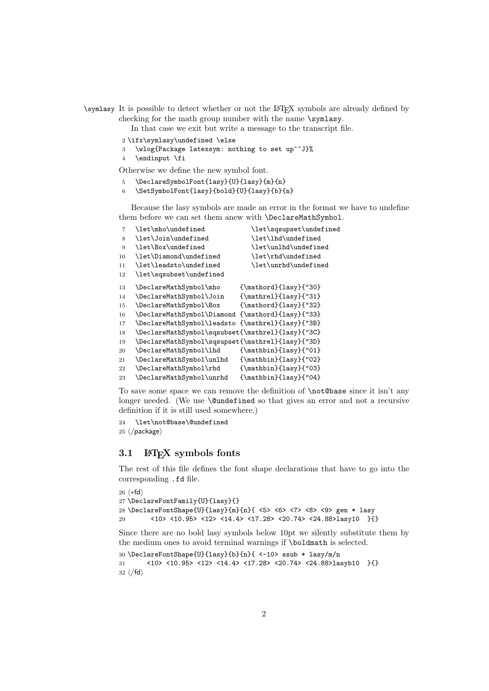\symlasy It is possible to detect whether or not the LATEX symbols are already defined by checking for the math group number with the name \symlasy.

In that case we exit but write a message to the transcript file.

- \ifx\symlasy\undefined \else
- \wlog{Package latexsym: nothing to set up^^J}%
- \endinput \fi

Otherwise we define the new symbol font.

- \DeclareSymbolFont{lasy}{U}{lasy}{m}{n}
- \SetSymbolFont{lasy}{bold}{U}{lasy}{b}{n}

Because the lasy symbols are made an error in the format we have to undefine them before we can set them anew with **\DeclareMathSymbol**.

| $\overline{7}$ | \let\mho\undefined                               | \let\sqsupset\undefined                  |
|----------------|--------------------------------------------------|------------------------------------------|
| 8              | \let\Join\undefined                              | \let\lhd\undefined                       |
| 9              | \let\Box\undefined                               | \let\unlhd\undefined                     |
| 10             | \let\Diamond\undefined                           | \let\rhd\undefined                       |
| 11             | \let\leadsto\undefined                           | \let\unrhd\undefined                     |
| 12             | \let\sqsubset\undefined                          |                                          |
| 13             | \DeclareMathSymbol\mho                           | ${\mathsf{lasy}}{}}$                     |
| 14             | \DeclareMathSymbol\Join                          | ${\mathsf{lasthrel}}_{\text{lsy}}$ {"31} |
| 15             | \DeclareMathSymbol\Box                           | ${\mathsf{lasy}}{''32}$                  |
| 16             | \DeclareMathSymbol\Diamond {\mathord}{lasy}{"33} |                                          |
| 17             | \DeclareMathSymbol\leadsto {\mathrel}{lasy}{"3B} |                                          |
| 18             | \DeclareMathSymbol\sqsubset{\mathrel}{lasy}{"3C} |                                          |
| 19             | \DeclareMathSymbol\sqsupset{\mathrel}{lasy}{"3D} |                                          |
| 20             | \DeclareMathSymbol\lhd                           | ${\mathbf{lasy}_{l}$ (101}               |
| 21             | \DeclareMathSymbol\unlhd                         | ${\mathbf{lass}}{''02}$                  |
| 22             | \DeclareMathSymbol\rhd                           | ${\mathbf{lasy}_{l}$ ('03)               |
| 23             | \DeclareMathSymbol\unrhd                         | ${\mathbf{lassy}$ {"04}                  |

To save some space we can remove the definition of \not@base since it isn't any longer needed. (We use **\@undefined** so that gives an error and not a recursive definition if it is still used somewhere.)

```
24 \let\not@base\@undefined
25 ⟨/package⟩
```
#### 3.1 LATEX symbols fonts

The rest of this file defines the font shape declarations that have to go into the corresponding .fd file.

```
26 ⟨∗fd⟩
27 \DeclareFontFamily{U}{lasy}{}
28 \DeclareFontShape{U}{lasy}{m}{n}{ <5> <6> <7> <8> <9> gen * lasy
29 <10> <10.95> <12> <14.4> <17.28> <20.74> <24.88>lasy10 }{}
```
Since there are no bold lasy symbols below 10pt we silently substitute them by the medium ones to avoid terminal warnings if \boldmath is selected.

```
30 \DeclareFontShape{U}{lasy}{b}{n}{ <-10> ssub * lasy/m/n
31 <10> <10.95> <12> <14.4> <17.28> <20.74> <24.88>lasyb10 }{}
32 ⟨/fd⟩
```